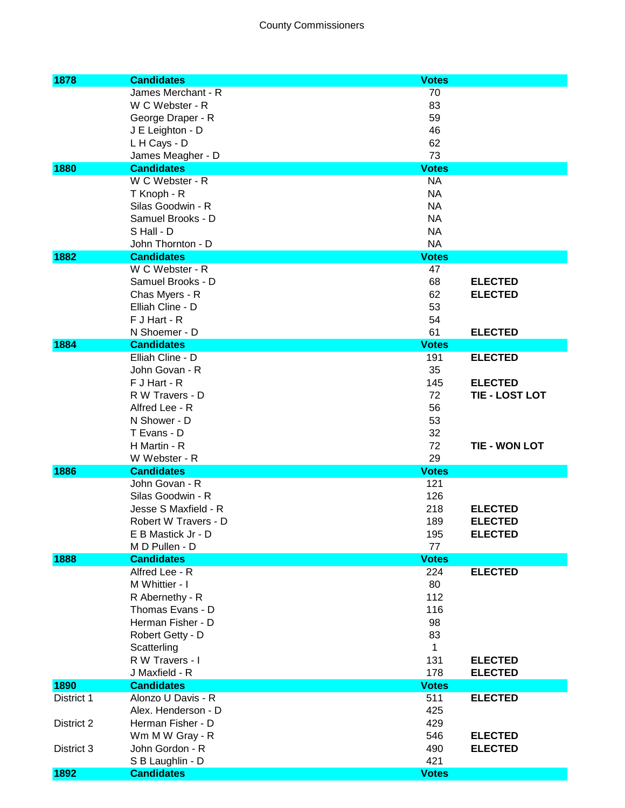## County Commissioners

| 1878       | <b>Candidates</b>                  | <b>Votes</b>                |
|------------|------------------------------------|-----------------------------|
|            | James Merchant - R                 | 70                          |
|            | W C Webster - R                    | 83                          |
|            | George Draper - R                  | 59                          |
|            | J E Leighton - D                   | 46                          |
|            | L H Cays - D                       | 62                          |
|            | James Meagher - D                  | 73                          |
| 1880       | <b>Candidates</b>                  | <b>Votes</b>                |
|            | W C Webster - R                    | <b>NA</b>                   |
|            | T Knoph - R                        | <b>NA</b>                   |
|            | Silas Goodwin - R                  | <b>NA</b>                   |
|            | Samuel Brooks - D                  | <b>NA</b>                   |
|            | S Hall - D                         | <b>NA</b>                   |
|            | John Thornton - D                  | <b>NA</b>                   |
| 1882       | <b>Candidates</b>                  | <b>Votes</b>                |
|            | W C Webster - R                    | 47                          |
|            | Samuel Brooks - D                  | 68<br><b>ELECTED</b>        |
|            | Chas Myers - R                     | 62<br><b>ELECTED</b>        |
|            | Elliah Cline - D                   | 53                          |
|            | F J Hart - R                       | 54                          |
|            | N Shoemer - D                      | 61<br><b>ELECTED</b>        |
| 1884       | <b>Candidates</b>                  | <b>Votes</b>                |
|            | Elliah Cline - D                   | 191<br><b>ELECTED</b>       |
|            | John Govan - R                     | 35                          |
|            | F J Hart - R                       | 145<br><b>ELECTED</b>       |
|            | R W Travers - D                    | 72<br><b>TIE - LOST LOT</b> |
|            | Alfred Lee - R                     | 56                          |
|            | N Shower - D                       | 53                          |
|            | T Evans - D                        | 32                          |
|            | H Martin - R                       | 72<br><b>TIE - WON LOT</b>  |
| 1886       | W Webster - R<br><b>Candidates</b> | 29<br><b>Votes</b>          |
|            | John Govan - R                     | 121                         |
|            | Silas Goodwin - R                  | 126                         |
|            | Jesse S Maxfield - R               | 218<br><b>ELECTED</b>       |
|            | Robert W Travers - D               | 189<br><b>ELECTED</b>       |
|            | E B Mastick Jr - D                 | <b>ELECTED</b><br>195       |
|            | M D Pullen - D                     | 77                          |
| 1888       | <b>Candidates</b>                  | <b>Votes</b>                |
|            | Alfred Lee - R                     | <b>ELECTED</b><br>224       |
|            | M Whittier - I                     | 80                          |
|            | R Abernethy - R                    | 112                         |
|            | Thomas Evans - D                   | 116                         |
|            | Herman Fisher - D                  | 98                          |
|            | Robert Getty - D                   | 83                          |
|            | Scatterling                        | $\mathbf{1}$                |
|            | R W Travers - I                    | 131<br><b>ELECTED</b>       |
|            | J Maxfield - R                     | 178<br><b>ELECTED</b>       |
| 1890       | <b>Candidates</b>                  | <b>Votes</b>                |
| District 1 | Alonzo U Davis - R                 | 511<br><b>ELECTED</b>       |
|            | Alex. Henderson - D                | 425                         |
| District 2 | Herman Fisher - D                  | 429                         |
|            | Wm M W Gray - R                    | 546<br><b>ELECTED</b>       |
| District 3 | John Gordon - R                    | 490<br><b>ELECTED</b>       |
|            | S B Laughlin - D                   | 421                         |
| 1892       | <b>Candidates</b>                  | <b>Votes</b>                |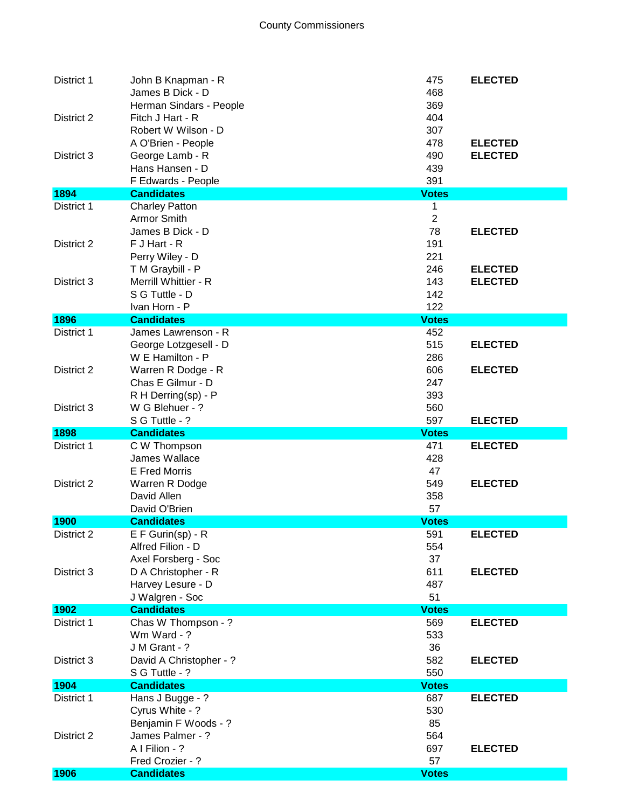| District 1         | John B Knapman - R<br>James B Dick - D<br>Herman Sindars - People                  | 475<br>468<br>369        | <b>ELECTED</b>                   |
|--------------------|------------------------------------------------------------------------------------|--------------------------|----------------------------------|
| District 2         | Fitch J Hart - R<br>Robert W Wilson - D                                            | 404<br>307               |                                  |
| District 3         | A O'Brien - People<br>George Lamb - R<br>Hans Hansen - D                           | 478<br>490<br>439        | <b>ELECTED</b><br><b>ELECTED</b> |
|                    | F Edwards - People                                                                 | 391                      |                                  |
| 1894<br>District 1 | <b>Candidates</b><br><b>Charley Patton</b>                                         | <b>Votes</b><br>1        |                                  |
|                    | <b>Armor Smith</b><br>James B Dick - D                                             | $\overline{2}$<br>78     | <b>ELECTED</b>                   |
| District 2         | F J Hart - R<br>Perry Wiley - D                                                    | 191<br>221               |                                  |
| District 3         | T M Graybill - P<br>Merrill Whittier - R<br>S G Tuttle - D<br>Ivan Horn - P        | 246<br>143<br>142<br>122 | <b>ELECTED</b><br><b>ELECTED</b> |
| 1896               | <b>Candidates</b>                                                                  | <b>Votes</b>             |                                  |
| District 1         | James Lawrenson - R<br>George Lotzgesell - D                                       | 452<br>515               | <b>ELECTED</b>                   |
| District 2         | W E Hamilton - P<br>Warren R Dodge - R<br>Chas E Gilmur - D                        | 286<br>606<br>247        | <b>ELECTED</b>                   |
| District 3         | R H Derring(sp) - P<br>W G Blehuer - ?                                             | 393<br>560               |                                  |
|                    | S G Tuttle - ?                                                                     | 597                      | <b>ELECTED</b>                   |
| 1898               | <b>Candidates</b>                                                                  | <b>Votes</b>             |                                  |
|                    |                                                                                    |                          |                                  |
| District 1         | C W Thompson<br>James Wallace<br><b>E</b> Fred Morris                              | 471<br>428<br>47         | <b>ELECTED</b>                   |
| District 2         | Warren R Dodge<br>David Allen<br>David O'Brien                                     | 549<br>358<br>57         | <b>ELECTED</b>                   |
| 1900               | <b>Candidates</b>                                                                  | <b>Votes</b>             |                                  |
| District 2         | $E F Gurin(sp) - R$<br>Alfred Filion - D                                           | 591<br>554               | <b>ELECTED</b>                   |
| District 3         | Axel Forsberg - Soc<br>D A Christopher - R<br>Harvey Lesure - D<br>J Walgren - Soc | 37<br>611<br>487<br>51   | <b>ELECTED</b>                   |
| 1902               | <b>Candidates</b>                                                                  | <b>Votes</b>             |                                  |
| District 1         | Chas W Thompson - ?<br>Wm Ward - ?                                                 | 569<br>533               | <b>ELECTED</b>                   |
| District 3         | J M Grant - ?<br>David A Christopher - ?<br>S G Tuttle - ?                         | 36<br>582<br>550         | <b>ELECTED</b>                   |
| 1904               | <b>Candidates</b>                                                                  | <b>Votes</b>             |                                  |
| District 1         | Hans J Bugge - ?<br>Cyrus White - ?                                                | 687<br>530               | <b>ELECTED</b>                   |
| District 2         | Benjamin F Woods - ?<br>James Palmer - ?<br>A I Filion - ?<br>Fred Crozier - ?     | 85<br>564<br>697<br>57   | <b>ELECTED</b>                   |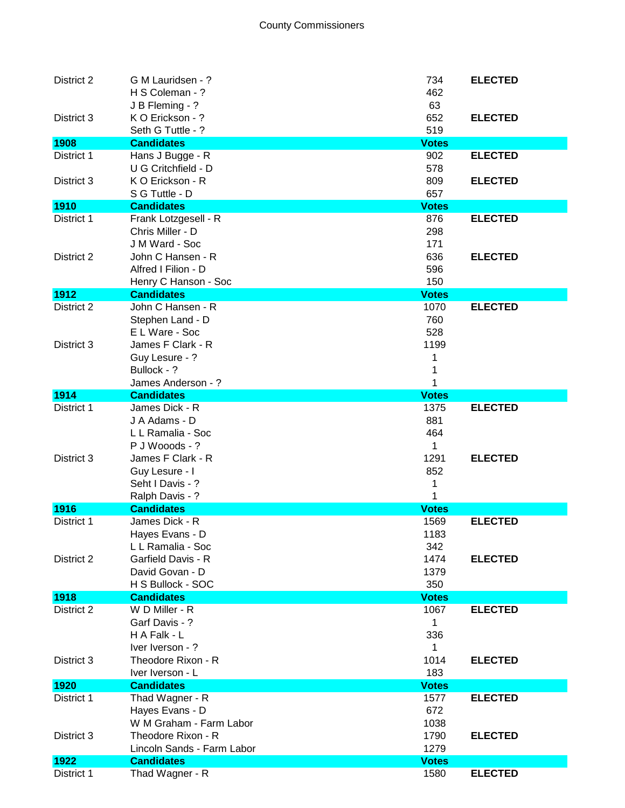| District 2         | G M Lauridsen - ?<br>H S Coleman - ?<br>J B Fleming - ? | 734<br>462<br>63 | <b>ELECTED</b> |
|--------------------|---------------------------------------------------------|------------------|----------------|
| District 3         | K O Erickson - ?<br>Seth G Tuttle - ?                   | 652<br>519       | <b>ELECTED</b> |
| 1908               | <b>Candidates</b>                                       | <b>Votes</b>     |                |
| District 1         | Hans J Bugge - R                                        | 902              | <b>ELECTED</b> |
|                    | U G Critchfield - D                                     | 578              |                |
| District 3         | K O Erickson - R                                        | 809              | <b>ELECTED</b> |
|                    | S G Tuttle - D                                          | 657              |                |
| 1910               | <b>Candidates</b>                                       | <b>Votes</b>     |                |
| District 1         | Frank Lotzgesell - R                                    | 876              | <b>ELECTED</b> |
|                    | Chris Miller - D                                        | 298              |                |
|                    | J M Ward - Soc                                          | 171              |                |
| District 2         | John C Hansen - R                                       | 636              | <b>ELECTED</b> |
|                    | Alfred I Filion - D                                     | 596              |                |
|                    |                                                         | 150              |                |
|                    | Henry C Hanson - Soc<br><b>Candidates</b>               |                  |                |
| 1912<br>District 2 | John C Hansen - R                                       | <b>Votes</b>     | <b>ELECTED</b> |
|                    |                                                         | 1070             |                |
|                    | Stephen Land - D                                        | 760              |                |
|                    | E L Ware - Soc                                          | 528              |                |
| District 3         | James F Clark - R                                       | 1199             |                |
|                    | Guy Lesure - ?                                          | 1                |                |
|                    | Bullock - ?                                             |                  |                |
|                    | James Anderson - ?                                      | 1                |                |
| 1914               | <b>Candidates</b>                                       | <b>Votes</b>     |                |
| District 1         | James Dick - R                                          | 1375             | <b>ELECTED</b> |
|                    | J A Adams - D                                           | 881              |                |
|                    | L L Ramalia - Soc                                       | 464              |                |
|                    | P J Wooods - ?                                          | 1                |                |
| District 3         | James F Clark - R                                       | 1291             | <b>ELECTED</b> |
|                    | Guy Lesure - I                                          | 852              |                |
|                    | Seht I Davis - ?                                        | 1                |                |
|                    | Ralph Davis - ?                                         |                  |                |
| 1916               | <b>Candidates</b>                                       | <b>Votes</b>     |                |
| District 1         | James Dick - R                                          | 1569             | <b>ELECTED</b> |
|                    | Hayes Evans - D                                         | 1183             |                |
|                    | L L Ramalia - Soc                                       | 342              |                |
| District 2         | Garfield Davis - R                                      | 1474             | <b>ELECTED</b> |
|                    | David Govan - D                                         | 1379             |                |
|                    | H S Bullock - SOC                                       | 350              |                |
| 1918               | <b>Candidates</b>                                       | <b>Votes</b>     |                |
| District 2         | W D Miller - R                                          | 1067             | <b>ELECTED</b> |
|                    | Garf Davis - ?                                          | 1                |                |
|                    | H A Falk - L                                            | 336              |                |
|                    | Iver Iverson - ?                                        | 1                |                |
| District 3         | Theodore Rixon - R                                      | 1014             | <b>ELECTED</b> |
|                    | Iver Iverson - L                                        | 183              |                |
| 1920               | <b>Candidates</b>                                       | <b>Votes</b>     |                |
| District 1         | Thad Wagner - R                                         | 1577             | <b>ELECTED</b> |
|                    | Hayes Evans - D                                         | 672              |                |
|                    | W M Graham - Farm Labor                                 | 1038             |                |
| District 3         | Theodore Rixon - R                                      | 1790             | <b>ELECTED</b> |
|                    | Lincoln Sands - Farm Labor                              | 1279             |                |
| 1922               | <b>Candidates</b>                                       | <b>Votes</b>     |                |
| District 1         | Thad Wagner - R                                         | 1580             | <b>ELECTED</b> |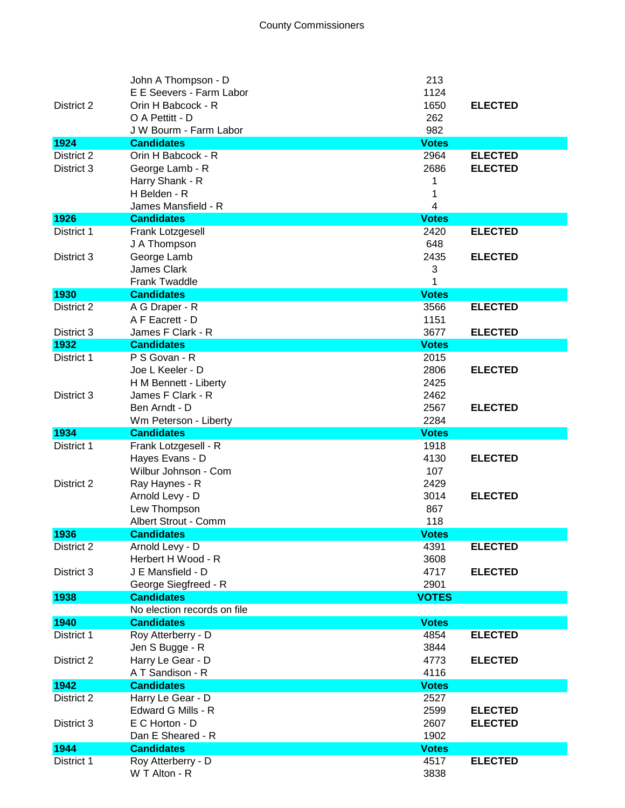| District 2               | John A Thompson - D<br>E E Seevers - Farm Labor<br>Orin H Babcock - R<br>O A Pettitt - D<br>J W Bourm - Farm Labor | 213<br>1124<br>1650<br>262<br>982 | <b>ELECTED</b>                   |
|--------------------------|--------------------------------------------------------------------------------------------------------------------|-----------------------------------|----------------------------------|
| 1924                     | <b>Candidates</b>                                                                                                  | <b>Votes</b>                      |                                  |
| District 2<br>District 3 | Orin H Babcock - R<br>George Lamb - R<br>Harry Shank - R<br>H Belden - R<br>James Mansfield - R                    | 2964<br>2686<br>1<br>1<br>4       | <b>ELECTED</b><br><b>ELECTED</b> |
| 1926                     | <b>Candidates</b>                                                                                                  | <b>Votes</b>                      |                                  |
| District 1<br>District 3 | Frank Lotzgesell<br>J A Thompson<br>George Lamb                                                                    | 2420<br>648<br>2435               | <b>ELECTED</b><br><b>ELECTED</b> |
|                          | <b>James Clark</b><br><b>Frank Twaddle</b>                                                                         | 3<br>1                            |                                  |
| 1930                     | <b>Candidates</b>                                                                                                  | <b>Votes</b>                      |                                  |
| District 2               | A G Draper - R<br>A F Eacrett - D                                                                                  | 3566<br>1151                      | <b>ELECTED</b>                   |
| District 3<br>1932       | James F Clark - R<br><b>Candidates</b>                                                                             | 3677<br><b>Votes</b>              | <b>ELECTED</b>                   |
| District 1               | P S Govan - R<br>Joe L Keeler - D<br>H M Bennett - Liberty                                                         | 2015<br>2806<br>2425              | <b>ELECTED</b>                   |
| District 3               | James F Clark - R<br>Ben Arndt - D<br>Wm Peterson - Liberty                                                        | 2462<br>2567<br>2284              | <b>ELECTED</b>                   |
| 1934                     | <b>Candidates</b>                                                                                                  | <b>Votes</b>                      |                                  |
|                          |                                                                                                                    |                                   |                                  |
| District 1<br>District 2 | Frank Lotzgesell - R<br>Hayes Evans - D<br>Wilbur Johnson - Com<br>Ray Haynes - R                                  | 1918<br>4130<br>107<br>2429       | <b>ELECTED</b>                   |
|                          | Arnold Levy - D<br>Lew Thompson<br>Albert Strout - Comm                                                            | 3014<br>867<br>118                | <b>ELECTED</b>                   |
| 1936                     | <b>Candidates</b>                                                                                                  | <b>Votes</b>                      |                                  |
| District 2               | Arnold Levy - D<br>Herbert H Wood - R                                                                              | 4391<br>3608                      | <b>ELECTED</b>                   |
| District 3               | J E Mansfield - D<br>George Siegfreed - R                                                                          | 4717<br>2901                      | <b>ELECTED</b>                   |
| 1938                     | <b>Candidates</b>                                                                                                  | <b>VOTES</b>                      |                                  |
|                          | No election records on file                                                                                        |                                   |                                  |
| 1940                     | <b>Candidates</b>                                                                                                  | <b>Votes</b>                      |                                  |
| District 1<br>District 2 | Roy Atterberry - D<br>Jen S Bugge - R<br>Harry Le Gear - D                                                         | 4854<br>3844<br>4773              | <b>ELECTED</b><br><b>ELECTED</b> |
|                          | A T Sandison - R                                                                                                   | 4116                              |                                  |
| 1942                     | <b>Candidates</b>                                                                                                  | <b>Votes</b>                      |                                  |
| District 2               | Harry Le Gear - D<br>Edward G Mills - R                                                                            | 2527<br>2599                      | <b>ELECTED</b>                   |
| District 3               | E C Horton - D<br>Dan E Sheared - R                                                                                | 2607<br>1902                      | <b>ELECTED</b>                   |
| 1944<br>District 1       | <b>Candidates</b><br>Roy Atterberry - D                                                                            | <b>Votes</b><br>4517              | <b>ELECTED</b>                   |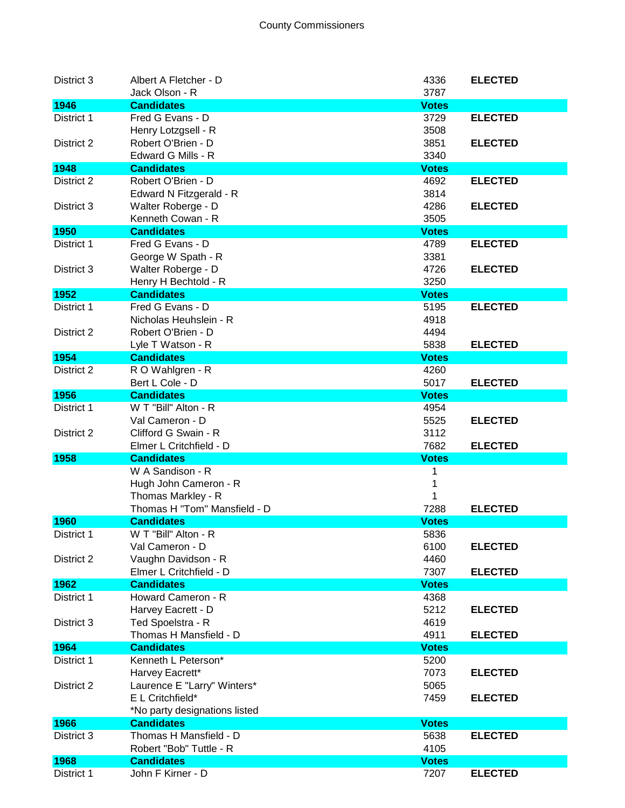| District 3 | Albert A Fletcher - D                           | 4336         | <b>ELECTED</b> |
|------------|-------------------------------------------------|--------------|----------------|
|            | Jack Olson - R                                  | 3787         |                |
| 1946       | <b>Candidates</b>                               | <b>Votes</b> |                |
| District 1 | Fred G Evans - D                                | 3729         | <b>ELECTED</b> |
|            | Henry Lotzgsell - R                             | 3508         |                |
| District 2 | Robert O'Brien - D                              | 3851         | <b>ELECTED</b> |
|            | Edward G Mills - R                              | 3340         |                |
| 1948       | <b>Candidates</b>                               | <b>Votes</b> |                |
| District 2 | Robert O'Brien - D                              | 4692         | <b>ELECTED</b> |
|            | Edward N Fitzgerald - R                         | 3814         |                |
| District 3 | Walter Roberge - D                              | 4286         | <b>ELECTED</b> |
|            | Kenneth Cowan - R                               | 3505         |                |
| 1950       | <b>Candidates</b>                               | <b>Votes</b> |                |
| District 1 | Fred G Evans - D                                | 4789         | <b>ELECTED</b> |
|            | George W Spath - R                              | 3381         |                |
| District 3 | Walter Roberge - D                              | 4726         | <b>ELECTED</b> |
|            | Henry H Bechtold - R                            | 3250         |                |
| 1952       | <b>Candidates</b>                               | <b>Votes</b> |                |
| District 1 | Fred G Evans - D                                | 5195         | <b>ELECTED</b> |
|            | Nicholas Heuhslein - R                          | 4918         |                |
| District 2 | Robert O'Brien - D                              | 4494         |                |
|            | Lyle T Watson - R                               | 5838         | <b>ELECTED</b> |
| 1954       | <b>Candidates</b>                               | <b>Votes</b> |                |
| District 2 | R O Wahlgren - R                                | 4260         |                |
|            | Bert L Cole - D                                 | 5017         | <b>ELECTED</b> |
| 1956       | <b>Candidates</b>                               | <b>Votes</b> |                |
| District 1 | W T "Bill" Alton - R                            | 4954         |                |
|            | Val Cameron - D                                 | 5525         | <b>ELECTED</b> |
| District 2 | Clifford G Swain - R                            | 3112         |                |
|            | Elmer L Critchfield - D                         | 7682         | <b>ELECTED</b> |
| 1958       | <b>Candidates</b>                               | <b>Votes</b> |                |
|            | W A Sandison - R                                | 1            |                |
|            |                                                 |              |                |
|            | Hugh John Cameron - R                           | 1            |                |
|            | Thomas Markley - R                              |              |                |
|            | Thomas H "Tom" Mansfield - D                    | 7288         | <b>ELECTED</b> |
| 1960       | <b>Candidates</b>                               | <b>Votes</b> |                |
| District 1 | W T "Bill" Alton - R                            | 5836         |                |
|            | Val Cameron - D                                 | 6100         | <b>ELECTED</b> |
| District 2 | Vaughn Davidson - R                             | 4460         |                |
|            | Elmer L Critchfield - D                         | 7307         | <b>ELECTED</b> |
| 1962       | <b>Candidates</b>                               | <b>Votes</b> |                |
| District 1 | Howard Cameron - R                              | 4368         |                |
|            | Harvey Eacrett - D                              | 5212         | <b>ELECTED</b> |
| District 3 | Ted Spoelstra - R                               | 4619         |                |
|            | Thomas H Mansfield - D                          | 4911         | <b>ELECTED</b> |
| 1964       | <b>Candidates</b>                               | <b>Votes</b> |                |
| District 1 | Kenneth L Peterson*                             | 5200         |                |
|            | Harvey Eacrett*                                 | 7073         | <b>ELECTED</b> |
| District 2 |                                                 | 5065         |                |
|            | Laurence E "Larry" Winters*<br>E L Critchfield* | 7459         | <b>ELECTED</b> |
|            | *No party designations listed                   |              |                |
| 1966       | <b>Candidates</b>                               | <b>Votes</b> |                |
| District 3 | Thomas H Mansfield - D                          | 5638         | <b>ELECTED</b> |
|            | Robert "Bob" Tuttle - R                         | 4105         |                |
| 1968       | <b>Candidates</b>                               | <b>Votes</b> |                |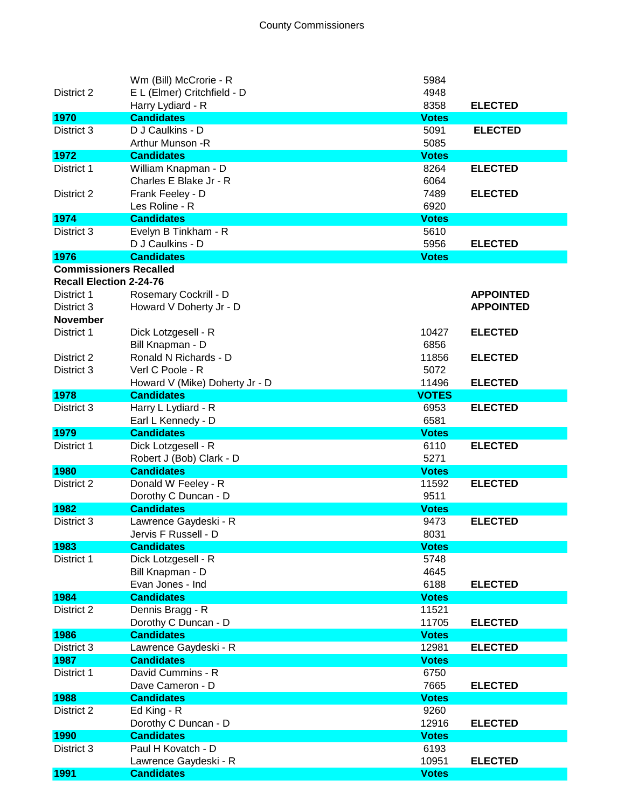|                                | Wm (Bill) McCrorie - R         | 5984         |                  |
|--------------------------------|--------------------------------|--------------|------------------|
| District 2                     | E L (Elmer) Critchfield - D    | 4948         |                  |
|                                | Harry Lydiard - R              | 8358         | <b>ELECTED</b>   |
| 1970                           | <b>Candidates</b>              | <b>Votes</b> |                  |
| District 3                     | D J Caulkins - D               | 5091         | <b>ELECTED</b>   |
|                                | Arthur Munson - R              | 5085         |                  |
| 1972                           | <b>Candidates</b>              | <b>Votes</b> |                  |
| District 1                     | William Knapman - D            | 8264         | <b>ELECTED</b>   |
|                                | Charles E Blake Jr - R         | 6064         |                  |
| District 2                     | Frank Feeley - D               | 7489         | <b>ELECTED</b>   |
|                                | Les Roline - R                 | 6920         |                  |
| 1974                           | <b>Candidates</b>              | <b>Votes</b> |                  |
| District 3                     | Evelyn B Tinkham - R           | 5610         |                  |
|                                | D J Caulkins - D               | 5956         | <b>ELECTED</b>   |
| 1976                           | <b>Candidates</b>              | <b>Votes</b> |                  |
| <b>Commissioners Recalled</b>  |                                |              |                  |
| <b>Recall Election 2-24-76</b> |                                |              |                  |
| District 1                     | Rosemary Cockrill - D          |              | <b>APPOINTED</b> |
| District 3                     | Howard V Doherty Jr - D        |              | <b>APPOINTED</b> |
| <b>November</b>                |                                |              |                  |
| District 1                     | Dick Lotzgesell - R            | 10427        | <b>ELECTED</b>   |
|                                | Bill Knapman - D               | 6856         |                  |
| District 2                     | Ronald N Richards - D          | 11856        | <b>ELECTED</b>   |
| District 3                     | Verl C Poole - R               | 5072         |                  |
|                                | Howard V (Mike) Doherty Jr - D | 11496        | <b>ELECTED</b>   |
| 1978                           | <b>Candidates</b>              | <b>VOTES</b> |                  |
| District 3                     | Harry L Lydiard - R            | 6953         | <b>ELECTED</b>   |
|                                | Earl L Kennedy - D             | 6581         |                  |
| 1979                           | <b>Candidates</b>              | <b>Votes</b> |                  |
| District 1                     | Dick Lotzgesell - R            | 6110         | <b>ELECTED</b>   |
|                                | Robert J (Bob) Clark - D       | 5271         |                  |
| 1980                           | <b>Candidates</b>              | <b>Votes</b> |                  |
| District 2                     | Donald W Feeley - R            | 11592        | <b>ELECTED</b>   |
|                                | Dorothy C Duncan - D           | 9511         |                  |
| 1982                           | <b>Candidates</b>              | <b>Votes</b> |                  |
| District 3                     | Lawrence Gaydeski - R          | 9473         | <b>ELECTED</b>   |
|                                | Jervis F Russell - D           | 8031         |                  |
| 1983                           | <b>Candidates</b>              | <b>Votes</b> |                  |
| District 1                     | Dick Lotzgesell - R            | 5748         |                  |
|                                | Bill Knapman - D               | 4645         |                  |
|                                | Evan Jones - Ind               | 6188         | <b>ELECTED</b>   |
| 1984                           | <b>Candidates</b>              | <b>Votes</b> |                  |
| District 2                     | Dennis Bragg - R               | 11521        |                  |
|                                | Dorothy C Duncan - D           | 11705        | <b>ELECTED</b>   |
| 1986                           | <b>Candidates</b>              | <b>Votes</b> |                  |
| District 3                     | Lawrence Gaydeski - R          | 12981        | <b>ELECTED</b>   |
| 1987                           | <b>Candidates</b>              | <b>Votes</b> |                  |
| District 1                     | David Cummins - R              | 6750         |                  |
|                                | Dave Cameron - D               | 7665         | <b>ELECTED</b>   |
| 1988                           | <b>Candidates</b>              | <b>Votes</b> |                  |
| District 2                     | Ed King - R                    | 9260         |                  |
|                                | Dorothy C Duncan - D           | 12916        | <b>ELECTED</b>   |
| 1990                           | <b>Candidates</b>              | <b>Votes</b> |                  |
| District 3                     | Paul H Kovatch - D             | 6193         |                  |
|                                | Lawrence Gaydeski - R          | 10951        | <b>ELECTED</b>   |
| 1991                           | <b>Candidates</b>              | <b>Votes</b> |                  |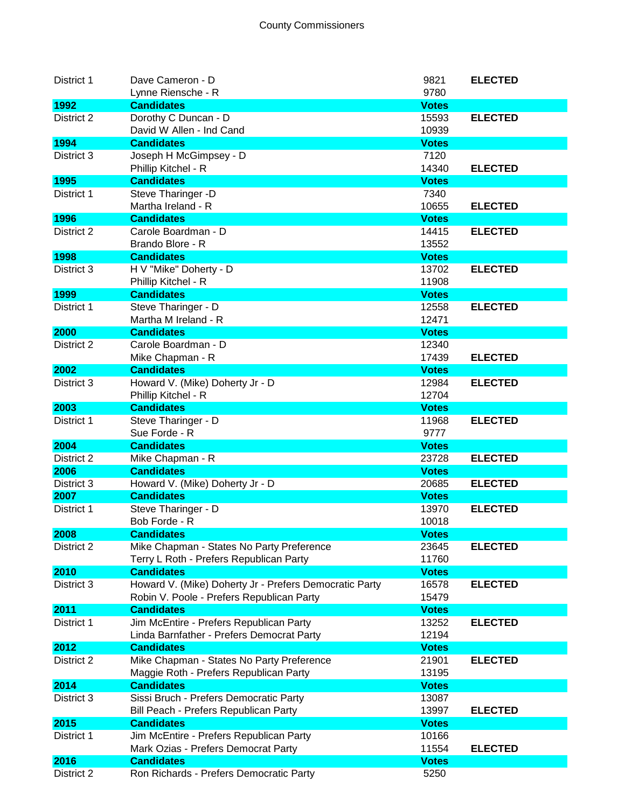| District 1 | Dave Cameron - D                                       | 9821         | <b>ELECTED</b> |
|------------|--------------------------------------------------------|--------------|----------------|
|            | Lynne Riensche - R                                     | 9780         |                |
| 1992       | <b>Candidates</b>                                      | <b>Votes</b> |                |
| District 2 | Dorothy C Duncan - D                                   | 15593        | <b>ELECTED</b> |
|            | David W Allen - Ind Cand                               | 10939        |                |
| 1994       | <b>Candidates</b>                                      | <b>Votes</b> |                |
| District 3 | Joseph H McGimpsey - D                                 | 7120         |                |
|            | Phillip Kitchel - R                                    | 14340        | <b>ELECTED</b> |
| 1995       | <b>Candidates</b>                                      | <b>Votes</b> |                |
| District 1 | Steve Tharinger -D                                     | 7340         |                |
|            | Martha Ireland - R                                     | 10655        | <b>ELECTED</b> |
| 1996       | <b>Candidates</b>                                      | <b>Votes</b> |                |
| District 2 | Carole Boardman - D                                    | 14415        | <b>ELECTED</b> |
|            | Brando Blore - R                                       | 13552        |                |
| 1998       | <b>Candidates</b>                                      | <b>Votes</b> |                |
| District 3 | H V "Mike" Doherty - D                                 | 13702        | <b>ELECTED</b> |
|            | Phillip Kitchel - R                                    | 11908        |                |
| 1999       | <b>Candidates</b>                                      | <b>Votes</b> |                |
| District 1 | Steve Tharinger - D                                    | 12558        | <b>ELECTED</b> |
|            | Martha M Ireland - R                                   | 12471        |                |
|            | <b>Candidates</b>                                      |              |                |
| 2000       |                                                        | <b>Votes</b> |                |
| District 2 | Carole Boardman - D                                    | 12340        |                |
|            | Mike Chapman - R                                       | 17439        | <b>ELECTED</b> |
| 2002       | <b>Candidates</b>                                      | <b>Votes</b> |                |
| District 3 | Howard V. (Mike) Doherty Jr - D                        | 12984        | <b>ELECTED</b> |
|            | Phillip Kitchel - R                                    | 12704        |                |
| 2003       | <b>Candidates</b>                                      | <b>Votes</b> |                |
| District 1 | Steve Tharinger - D                                    | 11968        | <b>ELECTED</b> |
|            | Sue Forde - R                                          | 9777         |                |
| 2004       | <b>Candidates</b>                                      | <b>Votes</b> |                |
| District 2 | Mike Chapman - R                                       | 23728        | <b>ELECTED</b> |
| 2006       | <b>Candidates</b>                                      | <b>Votes</b> |                |
| District 3 | Howard V. (Mike) Doherty Jr - D                        | 20685        | <b>ELECTED</b> |
| 2007       | <b>Candidates</b>                                      | <b>Votes</b> |                |
| District 1 | Steve Tharinger - D                                    | 13970        | <b>ELECTED</b> |
|            | Bob Forde - R                                          | 10018        |                |
| 2008       | <b>Candidates</b>                                      | <b>Votes</b> |                |
|            |                                                        |              | <b>ELECTED</b> |
| District 2 | Mike Chapman - States No Party Preference              | 23645        |                |
|            | Terry L Roth - Prefers Republican Party                | 11760        |                |
| 2010       | <b>Candidates</b>                                      | <b>Votes</b> |                |
| District 3 | Howard V. (Mike) Doherty Jr - Prefers Democratic Party | 16578        | <b>ELECTED</b> |
|            | Robin V. Poole - Prefers Republican Party              | 15479        |                |
| 2011       | <b>Candidates</b>                                      | <b>Votes</b> |                |
| District 1 | Jim McEntire - Prefers Republican Party                | 13252        | <b>ELECTED</b> |
|            | Linda Barnfather - Prefers Democrat Party              | 12194        |                |
| 2012       | <b>Candidates</b>                                      | <b>Votes</b> |                |
| District 2 | Mike Chapman - States No Party Preference              | 21901        | <b>ELECTED</b> |
|            | Maggie Roth - Prefers Republican Party                 | 13195        |                |
| 2014       | <b>Candidates</b>                                      | <b>Votes</b> |                |
| District 3 | Sissi Bruch - Prefers Democratic Party                 | 13087        |                |
|            | Bill Peach - Prefers Republican Party                  | 13997        | <b>ELECTED</b> |
| 2015       | <b>Candidates</b>                                      | <b>Votes</b> |                |
| District 1 | Jim McEntire - Prefers Republican Party                | 10166        |                |
|            |                                                        |              |                |
|            | Mark Ozias - Prefers Democrat Party                    | 11554        | <b>ELECTED</b> |
| 2016       | <b>Candidates</b>                                      | <b>Votes</b> |                |
| District 2 | Ron Richards - Prefers Democratic Party                | 5250         |                |